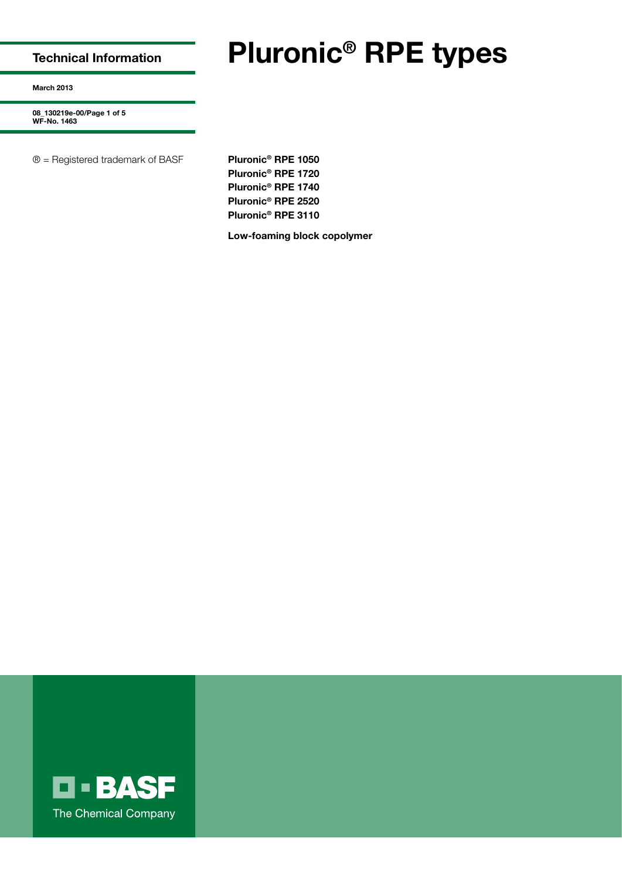**Technical Information**

# **Pluronic® RPE types**

**March 2013**

**08\_130219e-00/Page 1 of 5 WF-No. 1463**

® = Registered trademark of BASF **Pluronic® RPE 1050**

**Pluronic® RPE 1720 Pluronic® RPE 1740 Pluronic® RPE 2520 Pluronic® RPE 3110**

**Low-foaming block copolymer**

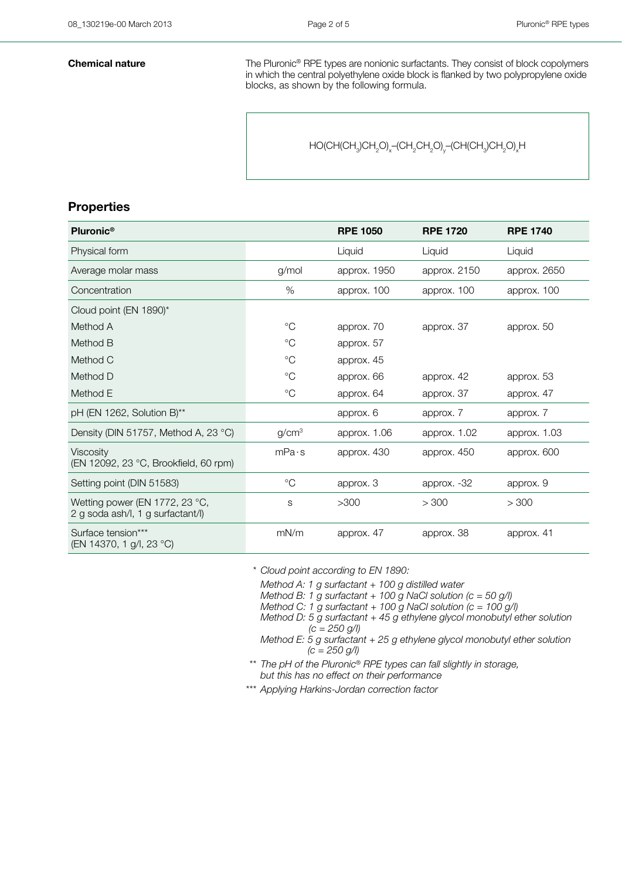**Chemical nature** The Pluronic<sup>®</sup> RPE types are nonionic surfactants. They consist of block copolymers in which the central polyethylene oxide block is flanked by two polypropylene oxide blocks, as shown by the following formula.

 $\mathsf{HO}(\mathsf{CH}(\mathsf{CH}_3)\mathsf{CH}_2\mathsf{O})_\mathsf{x}\text{--}(\mathsf{CH}_2\mathsf{CH}_2\mathsf{O})_\mathsf{y}\text{--}(\mathsf{CH}(\mathsf{CH}_3)\mathsf{CH}_2\mathsf{O})_\mathsf{x}\mathsf{H}$ 

## **Properties**

| Pluronic <sup>®</sup>                                               |                   | <b>RPE 1050</b> | <b>RPE 1720</b> | <b>RPE 1740</b> |
|---------------------------------------------------------------------|-------------------|-----------------|-----------------|-----------------|
| Physical form                                                       |                   | Liquid          | Liquid          | Liquid          |
| Average molar mass                                                  | q/mol             | approx. 1950    | approx. 2150    | approx. 2650    |
| Concentration                                                       | %                 | approx. 100     | approx. 100     | approx. 100     |
| Cloud point (EN 1890)*                                              |                   |                 |                 |                 |
| Method A                                                            | $\rm ^{\circ}C$   | approx. 70      | approx. 37      | approx. 50      |
| Method B                                                            | $^{\circ}C$       | approx. 57      |                 |                 |
| Method C                                                            | $\rm ^{\circ}C$   | approx. 45      |                 |                 |
| Method D                                                            | $^{\circ}C$       | approx. 66      | approx. 42      | approx. 53      |
| Method E                                                            | $^{\circ}C$       | approx. 64      | approx. 37      | approx. 47      |
| pH (EN 1262, Solution B)**                                          |                   | approx. 6       | approx. 7       | approx. 7       |
| Density (DIN 51757, Method A, 23 °C)                                | g/cm <sup>3</sup> | approx. 1.06    | approx. 1.02    | approx. 1.03    |
| Viscosity<br>(EN 12092, 23 °C, Brookfield, 60 rpm)                  | mPa·s             | approx. 430     | approx. 450     | approx. 600     |
| Setting point (DIN 51583)                                           | $^{\circ}C$       | approx. 3       | approx. -32     | approx. 9       |
| Wetting power (EN 1772, 23 °C,<br>2 g soda ash/l, 1 g surfactant/l) | S                 | >300            | > 300           | > 300           |
| Surface tension***<br>(EN 14370, 1 g/l, 23 °C)                      | mN/m              | approx. 47      | approx. 38      | approx. 41      |

## *\*\*\* Cloud point according to EN 1890:*

*Method A: 1 g surfactant + 100 g distilled water*

*Method B: 1 g surfactant + 100 g NaCl solution (c = 50 g/l)*

*Method C: 1 g surfactant + 100 g NaCl solution (c = 100 g/l) Method D: 5 g surfactant + 45 g ethylene glycol monobutyl ether solution* 

*(c = 250 g/l)*

- *Method E: 5 g surfactant + 25 g ethylene glycol monobutyl ether solution (c = 250 g/l)*
- *\*\*\* The pH of the Pluronic® RPE types can fall slightly in storage, but this has no effect on their performance*
- *\*\*\* Applying Harkins-Jordan correction factor*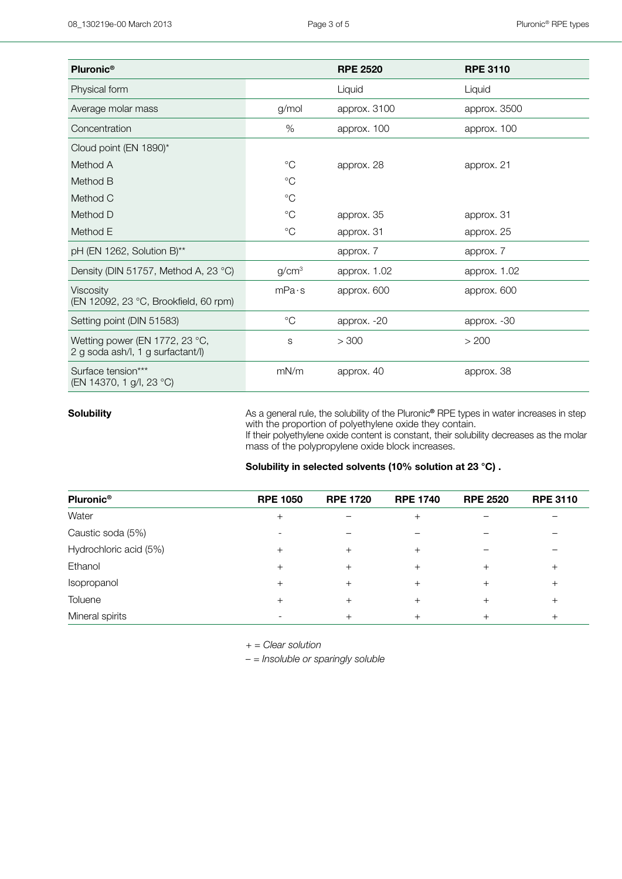| Pluronic <sup>®</sup>                                               |                   | <b>RPE 2520</b> | <b>RPE 3110</b> |
|---------------------------------------------------------------------|-------------------|-----------------|-----------------|
| Physical form                                                       |                   | Liquid          | Liquid          |
| Average molar mass                                                  | g/mol             | approx. 3100    | approx. 3500    |
| Concentration                                                       | $\%$              | approx. 100     | approx. 100     |
| Cloud point (EN 1890)*                                              |                   |                 |                 |
| Method A                                                            | $^{\circ}C$       | approx. 28      | approx. 21      |
| Method B                                                            | $^{\circ}C$       |                 |                 |
| Method C                                                            | $^{\circ}C$       |                 |                 |
| Method D                                                            | $^{\circ}C$       | approx. 35      | approx. 31      |
| Method E                                                            | $^{\circ}C$       | approx. 31      | approx. 25      |
| pH (EN 1262, Solution B)**                                          |                   | approx. 7       | approx. 7       |
| Density (DIN 51757, Method A, 23 °C)                                | g/cm <sup>3</sup> | approx. 1.02    | approx. 1.02    |
| <b>Viscosity</b><br>(EN 12092, 23 °C, Brookfield, 60 rpm)           | mPa·s             | approx. 600     | approx. 600     |
| Setting point (DIN 51583)                                           | $^{\circ}C$       | approx. -20     | approx. -30     |
| Wetting power (EN 1772, 23 °C,<br>2 g soda ash/l, 1 g surfactant/l) | S                 | > 300           | > 200           |
| Surface tension***<br>(EN 14370, 1 g/l, 23 °C)                      | mN/m              | approx. 40      | approx. 38      |

**Solubility As** a general rule, the solubility of the Pluronic<sup>®</sup> RPE types in water increases in step in step with the proportion of polyethylene oxide they contain.

If their polyethylene oxide content is constant, their solubility decreases as the molar mass of the polypropylene oxide block increases.

| Solubility in selected solvents (10% solution at 23 °C) . |  |
|-----------------------------------------------------------|--|
|-----------------------------------------------------------|--|

| Pluronic <sup>®</sup>  | <b>RPE 1050</b> | <b>RPE 1720</b> | <b>RPE 1740</b> | <b>RPE 2520</b> | <b>RPE 3110</b> |
|------------------------|-----------------|-----------------|-----------------|-----------------|-----------------|
| Water                  | $^{+}$          |                 |                 |                 |                 |
| Caustic soda (5%)      |                 |                 |                 |                 |                 |
| Hydrochloric acid (5%) | $^{+}$          |                 | ┿               |                 |                 |
| Ethanol                | $^{+}$          |                 | $^+$            |                 |                 |
| Isopropanol            | $^{+}$          | ┿               | $^+$            |                 |                 |
| Toluene                | $^{+}$          |                 | $^+$            |                 |                 |
| Mineral spirits        |                 |                 |                 |                 |                 |

*+ = Clear solution*

*– = Insoluble or sparingly soluble*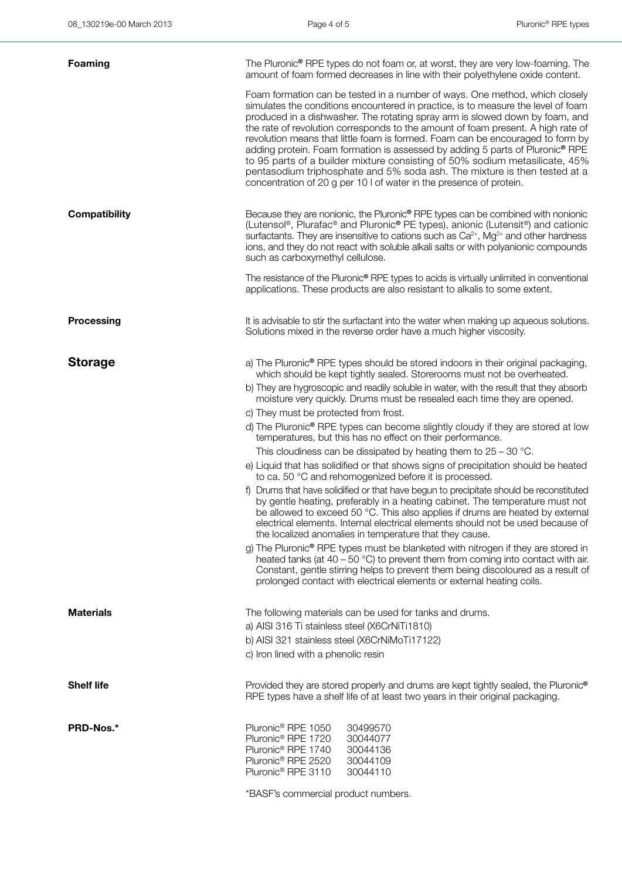| <b>Foaming</b>       | The Pluronic <sup>®</sup> RPE types do not foam or, at worst, they are very low-foaming. The<br>amount of foam formed decreases in line with their polyethylene oxide content.                                                                                                                                                                                                                                                                                                                                                                                                                                                                                                                                                             |
|----------------------|--------------------------------------------------------------------------------------------------------------------------------------------------------------------------------------------------------------------------------------------------------------------------------------------------------------------------------------------------------------------------------------------------------------------------------------------------------------------------------------------------------------------------------------------------------------------------------------------------------------------------------------------------------------------------------------------------------------------------------------------|
|                      | Foam formation can be tested in a number of ways. One method, which closely<br>simulates the conditions encountered in practice, is to measure the level of foam<br>produced in a dishwasher. The rotating spray arm is slowed down by foam, and<br>the rate of revolution corresponds to the amount of foam present. A high rate of<br>revolution means that little foam is formed. Foam can be encouraged to form by<br>adding protein. Foam formation is assessed by adding 5 parts of Pluronic® RPE<br>to 95 parts of a builder mixture consisting of 50% sodium metasilicate, 45%<br>pentasodium triphosphate and 5% soda ash. The mixture is then tested at a<br>concentration of 20 g per 10 l of water in the presence of protein. |
| <b>Compatibility</b> | Because they are nonionic, the Pluronic <sup>®</sup> RPE types can be combined with nonionic<br>(Lutensol®, Plurafac® and Pluronic® PE types), anionic (Lutensit®) and cationic<br>surfactants. They are insensitive to cations such as $Ca^{2+}$ , Mg <sup>2+</sup> and other hardness<br>ions, and they do not react with soluble alkali salts or with polyanionic compounds<br>such as carboxymethyl cellulose.                                                                                                                                                                                                                                                                                                                         |
|                      | The resistance of the Pluronic® RPE types to acids is virtually unlimited in conventional<br>applications. These products are also resistant to alkalis to some extent.                                                                                                                                                                                                                                                                                                                                                                                                                                                                                                                                                                    |
| Processing           | It is advisable to stir the surfactant into the water when making up aqueous solutions.<br>Solutions mixed in the reverse order have a much higher viscosity.                                                                                                                                                                                                                                                                                                                                                                                                                                                                                                                                                                              |
| <b>Storage</b>       | a) The Pluronic® RPE types should be stored indoors in their original packaging,<br>which should be kept tightly sealed. Storerooms must not be overheated.                                                                                                                                                                                                                                                                                                                                                                                                                                                                                                                                                                                |
|                      | b) They are hygroscopic and readily soluble in water, with the result that they absorb<br>moisture very quickly. Drums must be resealed each time they are opened.                                                                                                                                                                                                                                                                                                                                                                                                                                                                                                                                                                         |
|                      | c) They must be protected from frost.                                                                                                                                                                                                                                                                                                                                                                                                                                                                                                                                                                                                                                                                                                      |
|                      | d) The Pluronic® RPE types can become slightly cloudy if they are stored at low<br>temperatures, but this has no effect on their performance.                                                                                                                                                                                                                                                                                                                                                                                                                                                                                                                                                                                              |
|                      | This cloudiness can be dissipated by heating them to $25 - 30$ °C.                                                                                                                                                                                                                                                                                                                                                                                                                                                                                                                                                                                                                                                                         |
|                      | e) Liquid that has solidified or that shows signs of precipitation should be heated<br>to ca. 50 °C and rehomogenized before it is processed.                                                                                                                                                                                                                                                                                                                                                                                                                                                                                                                                                                                              |
|                      | f) Drums that have solidified or that have begun to precipitate should be reconstituted<br>by gentle heating, preferably in a heating cabinet. The temperature must not<br>be allowed to exceed 50 °C. This also applies if drums are heated by external<br>electrical elements. Internal electrical elements should not be used because of<br>the localized anomalies in temperature that they cause.                                                                                                                                                                                                                                                                                                                                     |
|                      | g) The Pluronic <sup>®</sup> RPE types must be blanketed with nitrogen if they are stored in<br>heated tanks (at $40 - 50$ °C) to prevent them from coming into contact with air.<br>Constant, gentle stirring helps to prevent them being discoloured as a result of<br>prolonged contact with electrical elements or external heating coils.                                                                                                                                                                                                                                                                                                                                                                                             |
| <b>Materials</b>     | The following materials can be used for tanks and drums.                                                                                                                                                                                                                                                                                                                                                                                                                                                                                                                                                                                                                                                                                   |
|                      | a) AISI 316 Ti stainless steel (X6CrNiTi1810)                                                                                                                                                                                                                                                                                                                                                                                                                                                                                                                                                                                                                                                                                              |
|                      | b) AISI 321 stainless steel (X6CrNiMoTi17122)                                                                                                                                                                                                                                                                                                                                                                                                                                                                                                                                                                                                                                                                                              |
|                      | c) Iron lined with a phenolic resin                                                                                                                                                                                                                                                                                                                                                                                                                                                                                                                                                                                                                                                                                                        |
| <b>Shelf life</b>    | Provided they are stored properly and drums are kept tightly sealed, the Pluronic <sup>®</sup><br>RPE types have a shelf life of at least two years in their original packaging.                                                                                                                                                                                                                                                                                                                                                                                                                                                                                                                                                           |
| PRD-Nos.*            | Pluronic <sup>®</sup> RPE 1050<br>30499570<br>Pluronic <sup>®</sup> RPE 1720<br>30044077<br>Pluronic <sup>®</sup> RPE 1740<br>30044136<br>Pluronic <sup>®</sup> RPE 2520<br>30044109<br>Pluronic <sup>®</sup> RPE 3110<br>30044110                                                                                                                                                                                                                                                                                                                                                                                                                                                                                                         |
|                      | *BASF's commercial product numbers.                                                                                                                                                                                                                                                                                                                                                                                                                                                                                                                                                                                                                                                                                                        |